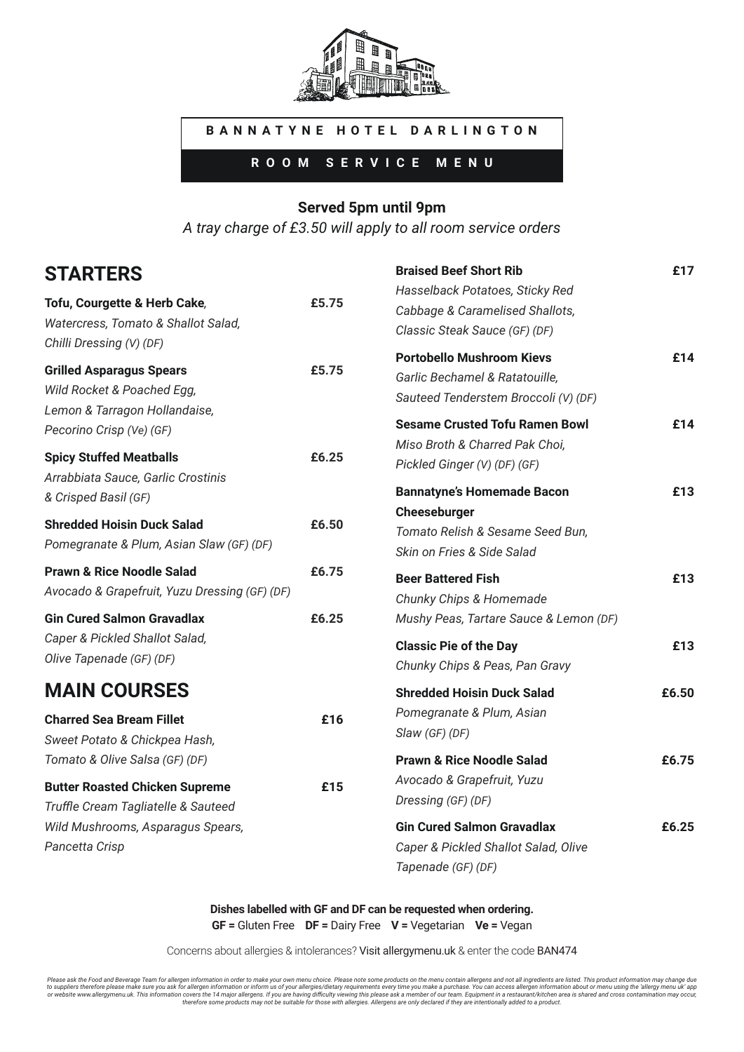

### **BANNATYNE HOTEL DARLINGTON**

**ROOM SERVICE MENU**

#### **Served 5pm until 9pm**

*A tray charge of £3.50 will apply to all room service orders*

**Braised Beef Short Rib £17**

## **STARTERS**

| Tofu, Courgette & Herb Cake,<br>Watercress, Tomato & Shallot Salad,<br>Chilli Dressing (V) (DF) | £5.75 | Hasselback Potatoes, Sticky Red<br>Cabbage & Caramelised Shallots,<br>Classic Steak Sauce (GF) (DF)        |       |
|-------------------------------------------------------------------------------------------------|-------|------------------------------------------------------------------------------------------------------------|-------|
| <b>Grilled Asparagus Spears</b><br>Wild Rocket & Poached Egg,<br>Lemon & Tarragon Hollandaise,  | £5.75 | <b>Portobello Mushroom Kievs</b><br>Garlic Bechamel & Ratatouille,<br>Sauteed Tenderstem Broccoli (V) (DF) | £14   |
| Pecorino Crisp (Ve) (GF)<br><b>Spicy Stuffed Meatballs</b>                                      | £6.25 | <b>Sesame Crusted Tofu Ramen Bowl</b><br>Miso Broth & Charred Pak Choi,<br>Pickled Ginger (V) (DF) (GF)    | £14   |
| Arrabbiata Sauce, Garlic Crostinis<br>& Crisped Basil (GF)                                      |       | <b>Bannatyne's Homemade Bacon</b><br>Cheeseburger                                                          | £13   |
| <b>Shredded Hoisin Duck Salad</b><br>Pomegranate & Plum, Asian Slaw (GF) (DF)                   | £6.50 | Tomato Relish & Sesame Seed Bun,<br>Skin on Fries & Side Salad                                             |       |
| <b>Prawn &amp; Rice Noodle Salad</b><br>Avocado & Grapefruit, Yuzu Dressing (GF) (DF)           | £6.75 | <b>Beer Battered Fish</b><br>Chunky Chips & Homemade                                                       | £13   |
| <b>Gin Cured Salmon Gravadlax</b><br>Caper & Pickled Shallot Salad,<br>Olive Tapenade (GF) (DF) | £6.25 | Mushy Peas, Tartare Sauce & Lemon (DF)<br><b>Classic Pie of the Day</b><br>Chunky Chips & Peas, Pan Gravy  | £13   |
| <b>MAIN COURSES</b><br><b>Charred Sea Bream Fillet</b>                                          | £16   | <b>Shredded Hoisin Duck Salad</b><br>Pomegranate & Plum, Asian<br>Slaw (GF) (DF)                           | £6.50 |
| Sweet Potato & Chickpea Hash,<br>Tomato & Olive Salsa (GF) (DF)                                 |       | <b>Prawn &amp; Rice Noodle Salad</b>                                                                       | £6.75 |
| <b>Butter Roasted Chicken Supreme</b><br>Truffle Cream Tagliatelle & Sauteed                    | £15   | Avocado & Grapefruit, Yuzu<br>Dressing (GF) (DF)                                                           |       |
| Wild Mushrooms, Asparagus Spears,<br>Pancetta Crisp                                             |       | <b>Gin Cured Salmon Gravadlax</b><br>Caper & Pickled Shallot Salad, Olive<br>Tapenade (GF) (DF)            | £6.25 |

**Dishes labelled with GF and DF can be requested when ordering. GF =** Gluten Free **DF =** Dairy Free **V =** Vegetarian **Ve =** Vegan

Concerns about allergies & intolerances? Visit allergymenu.uk & enter the code BAN474

Please ask the Food and Beverage Team for allergen information in order to make your own menu choice. Please note some products on the menu contain allergens and not all ingredients are listed. This product information may